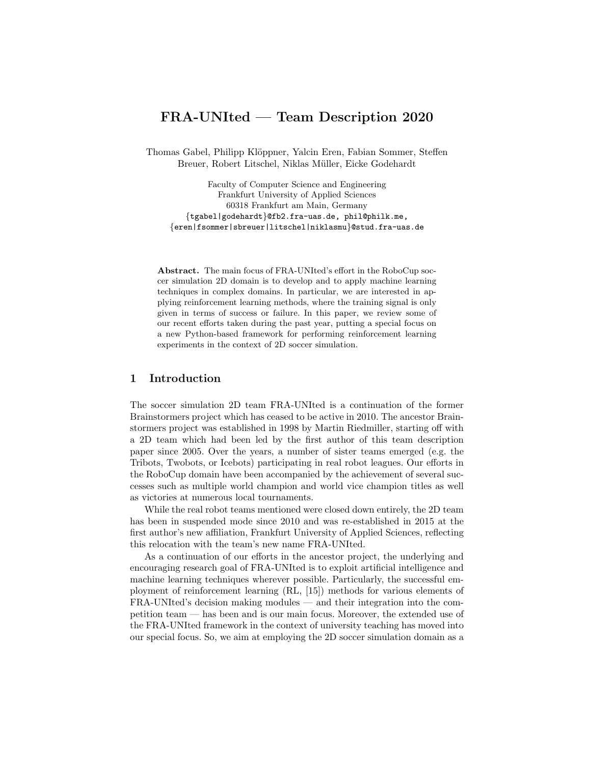# FRA-UNIted — Team Description 2020

Thomas Gabel, Philipp Klöppner, Yalcin Eren, Fabian Sommer, Steffen Breuer, Robert Litschel, Niklas Müller, Eicke Godehardt

Faculty of Computer Science and Engineering Frankfurt University of Applied Sciences 60318 Frankfurt am Main, Germany {tgabel|godehardt}@fb2.fra-uas.de, phil@philk.me, {eren|fsommer|sbreuer|litschel|niklasmu}@stud.fra-uas.de

Abstract. The main focus of FRA-UNIted's effort in the RoboCup soccer simulation 2D domain is to develop and to apply machine learning techniques in complex domains. In particular, we are interested in applying reinforcement learning methods, where the training signal is only given in terms of success or failure. In this paper, we review some of our recent efforts taken during the past year, putting a special focus on a new Python-based framework for performing reinforcement learning experiments in the context of 2D soccer simulation.

## 1 Introduction

The soccer simulation 2D team FRA-UNIted is a continuation of the former Brainstormers project which has ceased to be active in 2010. The ancestor Brainstormers project was established in 1998 by Martin Riedmiller, starting off with a 2D team which had been led by the first author of this team description paper since 2005. Over the years, a number of sister teams emerged (e.g. the Tribots, Twobots, or Icebots) participating in real robot leagues. Our efforts in the RoboCup domain have been accompanied by the achievement of several successes such as multiple world champion and world vice champion titles as well as victories at numerous local tournaments.

While the real robot teams mentioned were closed down entirely, the 2D team has been in suspended mode since 2010 and was re-established in 2015 at the first author's new affiliation, Frankfurt University of Applied Sciences, reflecting this relocation with the team's new name FRA-UNIted.

As a continuation of our efforts in the ancestor project, the underlying and encouraging research goal of FRA-UNIted is to exploit artificial intelligence and machine learning techniques wherever possible. Particularly, the successful employment of reinforcement learning (RL, [15]) methods for various elements of FRA-UNIted's decision making modules — and their integration into the competition team — has been and is our main focus. Moreover, the extended use of the FRA-UNIted framework in the context of university teaching has moved into our special focus. So, we aim at employing the 2D soccer simulation domain as a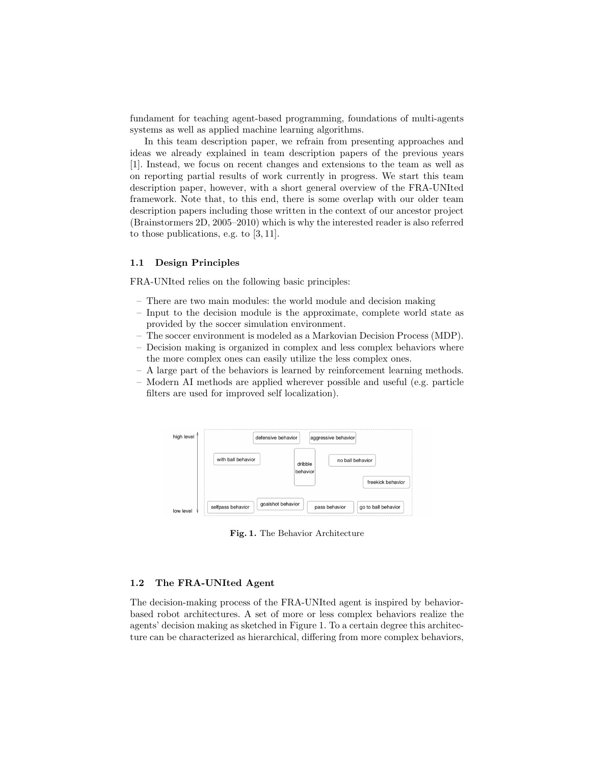fundament for teaching agent-based programming, foundations of multi-agents systems as well as applied machine learning algorithms.

In this team description paper, we refrain from presenting approaches and ideas we already explained in team description papers of the previous years [1]. Instead, we focus on recent changes and extensions to the team as well as on reporting partial results of work currently in progress. We start this team description paper, however, with a short general overview of the FRA-UNIted framework. Note that, to this end, there is some overlap with our older team description papers including those written in the context of our ancestor project (Brainstormers 2D, 2005–2010) which is why the interested reader is also referred to those publications, e.g. to [3, 11].

#### 1.1 Design Principles

FRA-UNIted relies on the following basic principles:

- There are two main modules: the world module and decision making
- Input to the decision module is the approximate, complete world state as provided by the soccer simulation environment.
- The soccer environment is modeled as a Markovian Decision Process (MDP).
- Decision making is organized in complex and less complex behaviors where the more complex ones can easily utilize the less complex ones.
- A large part of the behaviors is learned by reinforcement learning methods.
- Modern AI methods are applied wherever possible and useful (e.g. particle filters are used for improved self localization).

| high level $\uparrow$ | defensive behavior                     |                     | aggressive behavior                  |
|-----------------------|----------------------------------------|---------------------|--------------------------------------|
|                       | with ball behavior                     | dribble<br>behavior | no ball behavior                     |
|                       |                                        |                     | freekick behavior                    |
| low level             | goalshot behavior<br>selfpass behavior |                     | pass behavior<br>go to ball behavior |

Fig. 1. The Behavior Architecture

#### 1.2 The FRA-UNIted Agent

The decision-making process of the FRA-UNIted agent is inspired by behaviorbased robot architectures. A set of more or less complex behaviors realize the agents' decision making as sketched in Figure 1. To a certain degree this architecture can be characterized as hierarchical, differing from more complex behaviors,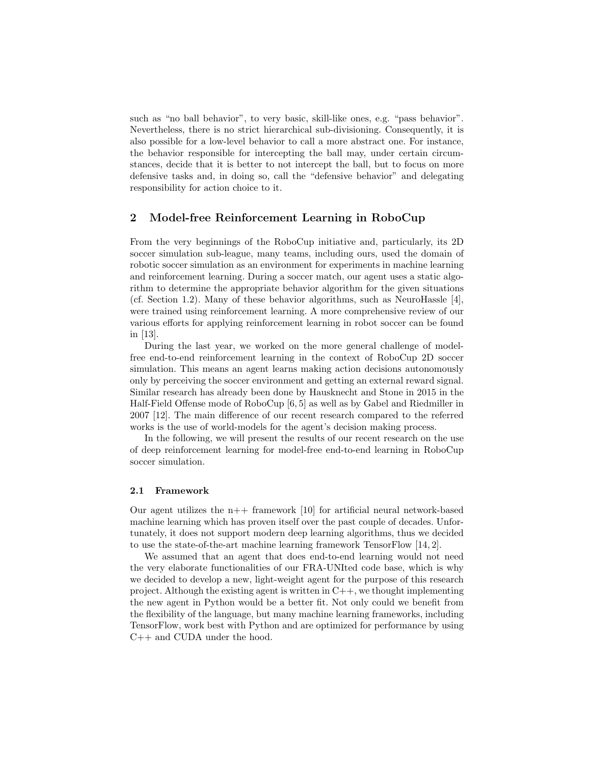such as "no ball behavior", to very basic, skill-like ones, e.g. "pass behavior". Nevertheless, there is no strict hierarchical sub-divisioning. Consequently, it is also possible for a low-level behavior to call a more abstract one. For instance, the behavior responsible for intercepting the ball may, under certain circumstances, decide that it is better to not intercept the ball, but to focus on more defensive tasks and, in doing so, call the "defensive behavior" and delegating responsibility for action choice to it.

### 2 Model-free Reinforcement Learning in RoboCup

From the very beginnings of the RoboCup initiative and, particularly, its 2D soccer simulation sub-league, many teams, including ours, used the domain of robotic soccer simulation as an environment for experiments in machine learning and reinforcement learning. During a soccer match, our agent uses a static algorithm to determine the appropriate behavior algorithm for the given situations (cf. Section 1.2). Many of these behavior algorithms, such as NeuroHassle [4], were trained using reinforcement learning. A more comprehensive review of our various efforts for applying reinforcement learning in robot soccer can be found in [13].

During the last year, we worked on the more general challenge of modelfree end-to-end reinforcement learning in the context of RoboCup 2D soccer simulation. This means an agent learns making action decisions autonomously only by perceiving the soccer environment and getting an external reward signal. Similar research has already been done by Hausknecht and Stone in 2015 in the Half-Field Offense mode of RoboCup [6, 5] as well as by Gabel and Riedmiller in 2007 [12]. The main difference of our recent research compared to the referred works is the use of world-models for the agent's decision making process.

In the following, we will present the results of our recent research on the use of deep reinforcement learning for model-free end-to-end learning in RoboCup soccer simulation.

#### 2.1 Framework

Our agent utilizes the  $n++$  framework [10] for artificial neural network-based machine learning which has proven itself over the past couple of decades. Unfortunately, it does not support modern deep learning algorithms, thus we decided to use the state-of-the-art machine learning framework TensorFlow [14, 2].

We assumed that an agent that does end-to-end learning would not need the very elaborate functionalities of our FRA-UNIted code base, which is why we decided to develop a new, light-weight agent for the purpose of this research project. Although the existing agent is written in  $C_{++}$ , we thought implementing the new agent in Python would be a better fit. Not only could we benefit from the flexibility of the language, but many machine learning frameworks, including TensorFlow, work best with Python and are optimized for performance by using C++ and CUDA under the hood.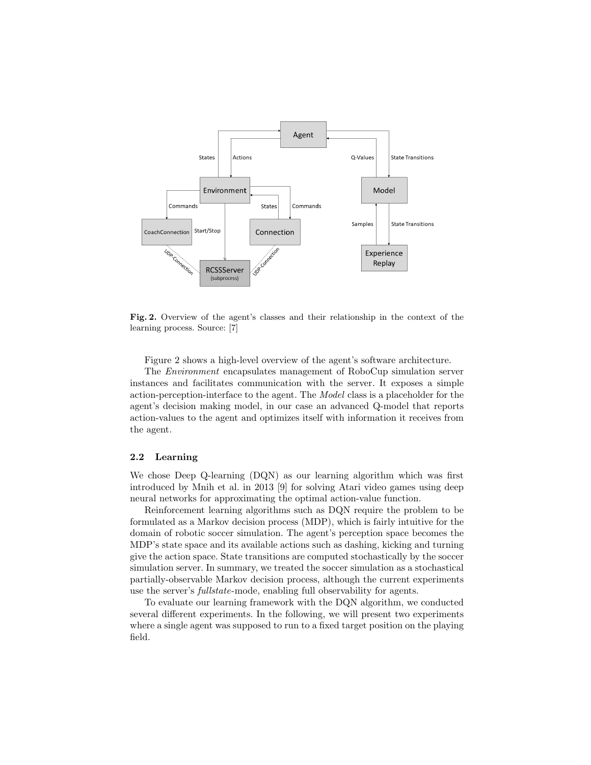

Fig. 2. Overview of the agent's classes and their relationship in the context of the learning process. Source: [7]

Figure 2 shows a high-level overview of the agent's software architecture.

The Environment encapsulates management of RoboCup simulation server instances and facilitates communication with the server. It exposes a simple action-perception-interface to the agent. The Model class is a placeholder for the agent's decision making model, in our case an advanced Q-model that reports action-values to the agent and optimizes itself with information it receives from the agent.

#### 2.2 Learning

We chose Deep Q-learning (DQN) as our learning algorithm which was first introduced by Mnih et al. in 2013 [9] for solving Atari video games using deep neural networks for approximating the optimal action-value function.

Reinforcement learning algorithms such as DQN require the problem to be formulated as a Markov decision process (MDP), which is fairly intuitive for the domain of robotic soccer simulation. The agent's perception space becomes the MDP's state space and its available actions such as dashing, kicking and turning give the action space. State transitions are computed stochastically by the soccer simulation server. In summary, we treated the soccer simulation as a stochastical partially-observable Markov decision process, although the current experiments use the server's fullstate-mode, enabling full observability for agents.

To evaluate our learning framework with the DQN algorithm, we conducted several different experiments. In the following, we will present two experiments where a single agent was supposed to run to a fixed target position on the playing field.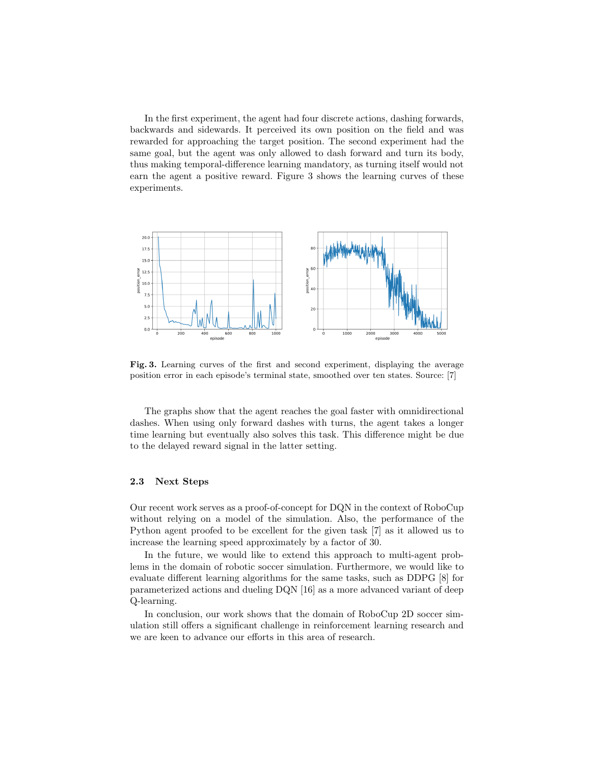In the first experiment, the agent had four discrete actions, dashing forwards, backwards and sidewards. It perceived its own position on the field and was rewarded for approaching the target position. The second experiment had the same goal, but the agent was only allowed to dash forward and turn its body, thus making temporal-difference learning mandatory, as turning itself would not earn the agent a positive reward. Figure 3 shows the learning curves of these experiments.



Fig. 3. Learning curves of the first and second experiment, displaying the average position error in each episode's terminal state, smoothed over ten states. Source: [7]

The graphs show that the agent reaches the goal faster with omnidirectional dashes. When using only forward dashes with turns, the agent takes a longer time learning but eventually also solves this task. This difference might be due to the delayed reward signal in the latter setting.

#### 2.3 Next Steps

Our recent work serves as a proof-of-concept for DQN in the context of RoboCup without relying on a model of the simulation. Also, the performance of the Python agent proofed to be excellent for the given task [7] as it allowed us to increase the learning speed approximately by a factor of 30.

In the future, we would like to extend this approach to multi-agent problems in the domain of robotic soccer simulation. Furthermore, we would like to evaluate different learning algorithms for the same tasks, such as DDPG [8] for parameterized actions and dueling DQN [16] as a more advanced variant of deep Q-learning.

In conclusion, our work shows that the domain of RoboCup 2D soccer simulation still offers a significant challenge in reinforcement learning research and we are keen to advance our efforts in this area of research.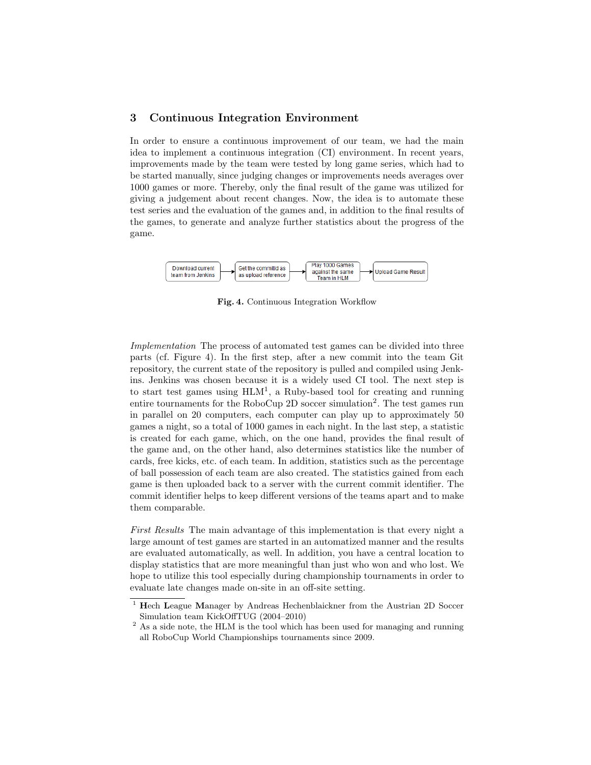## 3 Continuous Integration Environment

In order to ensure a continuous improvement of our team, we had the main idea to implement a continuous integration (CI) environment. In recent years, improvements made by the team were tested by long game series, which had to be started manually, since judging changes or improvements needs averages over 1000 games or more. Thereby, only the final result of the game was utilized for giving a judgement about recent changes. Now, the idea is to automate these test series and the evaluation of the games and, in addition to the final results of the games, to generate and analyze further statistics about the progress of the game.



Fig. 4. Continuous Integration Workflow

Implementation The process of automated test games can be divided into three parts (cf. Figure 4). In the first step, after a new commit into the team Git repository, the current state of the repository is pulled and compiled using Jenkins. Jenkins was chosen because it is a widely used CI tool. The next step is to start test games using  $HLM<sup>1</sup>$ , a Ruby-based tool for creating and running entire tournaments for the RoboCup 2D soccer simulation<sup>2</sup>. The test games run in parallel on 20 computers, each computer can play up to approximately 50 games a night, so a total of 1000 games in each night. In the last step, a statistic is created for each game, which, on the one hand, provides the final result of the game and, on the other hand, also determines statistics like the number of cards, free kicks, etc. of each team. In addition, statistics such as the percentage of ball possession of each team are also created. The statistics gained from each game is then uploaded back to a server with the current commit identifier. The commit identifier helps to keep different versions of the teams apart and to make them comparable.

First Results The main advantage of this implementation is that every night a large amount of test games are started in an automatized manner and the results are evaluated automatically, as well. In addition, you have a central location to display statistics that are more meaningful than just who won and who lost. We hope to utilize this tool especially during championship tournaments in order to evaluate late changes made on-site in an off-site setting.

<sup>&</sup>lt;sup>1</sup> Hech League Manager by Andreas Hechenblaickner from the Austrian 2D Soccer Simulation team KickOffTUG (2004–2010)

<sup>&</sup>lt;sup>2</sup> As a side note, the HLM is the tool which has been used for managing and running all RoboCup World Championships tournaments since 2009.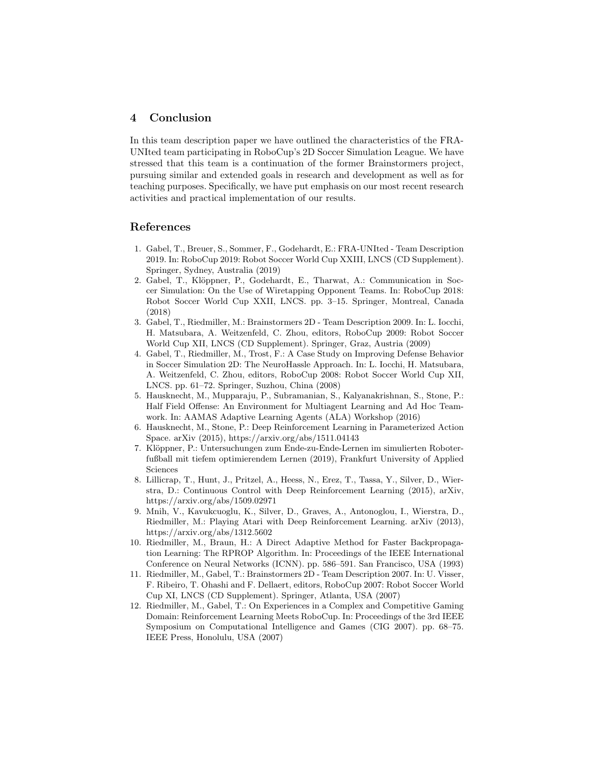## 4 Conclusion

In this team description paper we have outlined the characteristics of the FRA-UNIted team participating in RoboCup's 2D Soccer Simulation League. We have stressed that this team is a continuation of the former Brainstormers project, pursuing similar and extended goals in research and development as well as for teaching purposes. Specifically, we have put emphasis on our most recent research activities and practical implementation of our results.

### References

- 1. Gabel, T., Breuer, S., Sommer, F., Godehardt, E.: FRA-UNIted Team Description 2019. In: RoboCup 2019: Robot Soccer World Cup XXIII, LNCS (CD Supplement). Springer, Sydney, Australia (2019)
- 2. Gabel, T., Klöppner, P., Godehardt, E., Tharwat, A.: Communication in Soccer Simulation: On the Use of Wiretapping Opponent Teams. In: RoboCup 2018: Robot Soccer World Cup XXII, LNCS. pp. 3–15. Springer, Montreal, Canada (2018)
- 3. Gabel, T., Riedmiller, M.: Brainstormers 2D Team Description 2009. In: L. Iocchi, H. Matsubara, A. Weitzenfeld, C. Zhou, editors, RoboCup 2009: Robot Soccer World Cup XII, LNCS (CD Supplement). Springer, Graz, Austria (2009)
- 4. Gabel, T., Riedmiller, M., Trost, F.: A Case Study on Improving Defense Behavior in Soccer Simulation 2D: The NeuroHassle Approach. In: L. Iocchi, H. Matsubara, A. Weitzenfeld, C. Zhou, editors, RoboCup 2008: Robot Soccer World Cup XII, LNCS. pp. 61–72. Springer, Suzhou, China (2008)
- 5. Hausknecht, M., Mupparaju, P., Subramanian, S., Kalyanakrishnan, S., Stone, P.: Half Field Offense: An Environment for Multiagent Learning and Ad Hoc Teamwork. In: AAMAS Adaptive Learning Agents (ALA) Workshop (2016)
- 6. Hausknecht, M., Stone, P.: Deep Reinforcement Learning in Parameterized Action Space. arXiv (2015), https://arxiv.org/abs/1511.04143
- 7. Klöppner, P.: Untersuchungen zum Ende-zu-Ende-Lernen im simulierten Roboterfußball mit tiefem optimierendem Lernen (2019), Frankfurt University of Applied Sciences
- 8. Lillicrap, T., Hunt, J., Pritzel, A., Heess, N., Erez, T., Tassa, Y., Silver, D., Wierstra, D.: Continuous Control with Deep Reinforcement Learning (2015), arXiv, https://arxiv.org/abs/1509.02971
- 9. Mnih, V., Kavukcuoglu, K., Silver, D., Graves, A., Antonoglou, I., Wierstra, D., Riedmiller, M.: Playing Atari with Deep Reinforcement Learning. arXiv (2013), https://arxiv.org/abs/1312.5602
- 10. Riedmiller, M., Braun, H.: A Direct Adaptive Method for Faster Backpropagation Learning: The RPROP Algorithm. In: Proceedings of the IEEE International Conference on Neural Networks (ICNN). pp. 586–591. San Francisco, USA (1993)
- 11. Riedmiller, M., Gabel, T.: Brainstormers 2D Team Description 2007. In: U. Visser, F. Ribeiro, T. Ohashi and F. Dellaert, editors, RoboCup 2007: Robot Soccer World Cup XI, LNCS (CD Supplement). Springer, Atlanta, USA (2007)
- 12. Riedmiller, M., Gabel, T.: On Experiences in a Complex and Competitive Gaming Domain: Reinforcement Learning Meets RoboCup. In: Proceedings of the 3rd IEEE Symposium on Computational Intelligence and Games (CIG 2007). pp. 68–75. IEEE Press, Honolulu, USA (2007)